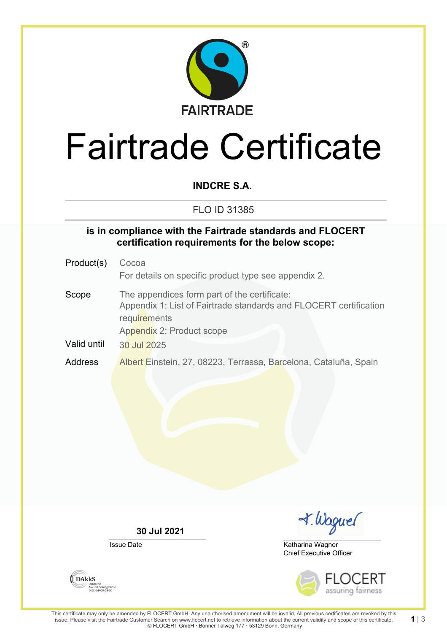

# Fairtrade Certificate

### **INDCRE S.A.**

#### FLO ID 31385

#### **is in compliance with the Fairtrade standards and FLOCERT certification requirements for the below scope:**

Product(s) Cocoa For details on specific product type see appendix 2. Scope The appendices form part of the certificate: Appendix 1: List of Fairtrade standards and FLOCERT certification requirements Appendix 2: Product scope Valid until 30 Jul 2025 Address Albert Einstein, 27, 08223, Terrassa, Barcelona, Cataluña, Spain

**30 Jul 2021**

Issue Date

I. Waguel

Chief Executive Officer Katharina Wagner



**1** | 3

**DAKKS** Akkreditierungsstelle<br>D-ZE-14408-01-00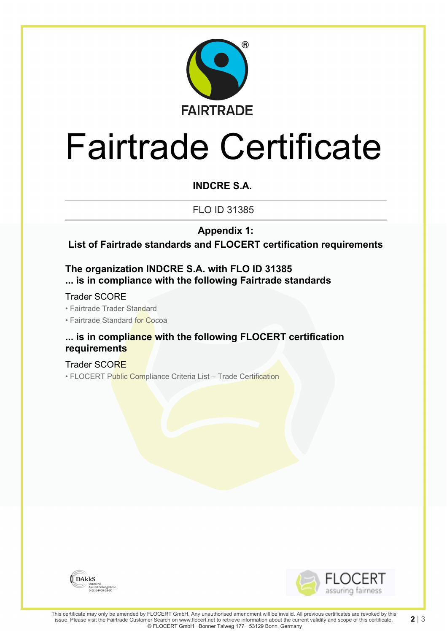

# Fairtrade Certificate

### **INDCRE S.A.**

FLO ID 31385

**Appendix 1:**

**List of Fairtrade standards and FLOCERT certification requirements**

#### **The organization INDCRE S.A. with FLO ID 31385 ... is in compliance with the following Fairtrade standards**

Trader SCORE

• Fairtrade Trader Standard

• Fairtrade Standard for Cocoa

#### **... is in compliance with the following FLOCERT certification requirements**

Trader SCORE • FLOCERT Public Compliance Criteria List – Trade Certification





**2** | 3